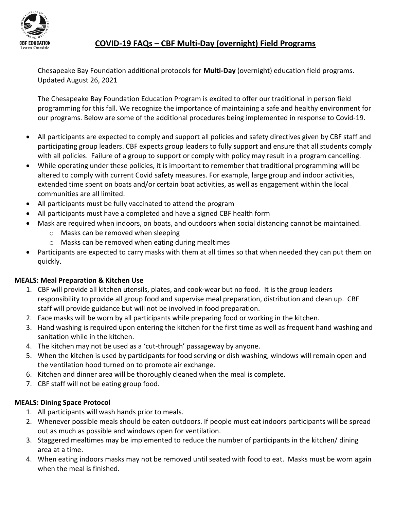

# COVID-19 FAQs – CBF Multi-Day (overnight) Field Programs

Chesapeake Bay Foundation additional protocols for Multi-Day (overnight) education field programs. Updated August 26, 2021

The Chesapeake Bay Foundation Education Program is excited to offer our traditional in person field programming for this fall. We recognize the importance of maintaining a safe and healthy environment for our programs. Below are some of the additional procedures being implemented in response to Covid-19.

- All participants are expected to comply and support all policies and safety directives given by CBF staff and participating group leaders. CBF expects group leaders to fully support and ensure that all students comply with all policies. Failure of a group to support or comply with policy may result in a program cancelling.
- While operating under these policies, it is important to remember that traditional programming will be altered to comply with current Covid safety measures. For example, large group and indoor activities, extended time spent on boats and/or certain boat activities, as well as engagement within the local communities are all limited.
- All participants must be fully vaccinated to attend the program
- All participants must have a completed and have a signed CBF health form
- Mask are required when indoors, on boats, and outdoors when social distancing cannot be maintained.
	- o Masks can be removed when sleeping
	- o Masks can be removed when eating during mealtimes
- Participants are expected to carry masks with them at all times so that when needed they can put them on quickly.

## MEALS: Meal Preparation & Kitchen Use

- 1. CBF will provide all kitchen utensils, plates, and cook-wear but no food. It is the group leaders responsibility to provide all group food and supervise meal preparation, distribution and clean up. CBF staff will provide guidance but will not be involved in food preparation.
- 2. Face masks will be worn by all participants while preparing food or working in the kitchen.
- 3. Hand washing is required upon entering the kitchen for the first time as well as frequent hand washing and sanitation while in the kitchen.
- 4. The kitchen may not be used as a 'cut-through' passageway by anyone.
- 5. When the kitchen is used by participants for food serving or dish washing, windows will remain open and the ventilation hood turned on to promote air exchange.
- 6. Kitchen and dinner area will be thoroughly cleaned when the meal is complete.
- 7. CBF staff will not be eating group food.

## MEALS: Dining Space Protocol

- 1. All participants will wash hands prior to meals.
- 2. Whenever possible meals should be eaten outdoors. If people must eat indoors participants will be spread out as much as possible and windows open for ventilation.
- 3. Staggered mealtimes may be implemented to reduce the number of participants in the kitchen/ dining area at a time.
- 4. When eating indoors masks may not be removed until seated with food to eat. Masks must be worn again when the meal is finished.